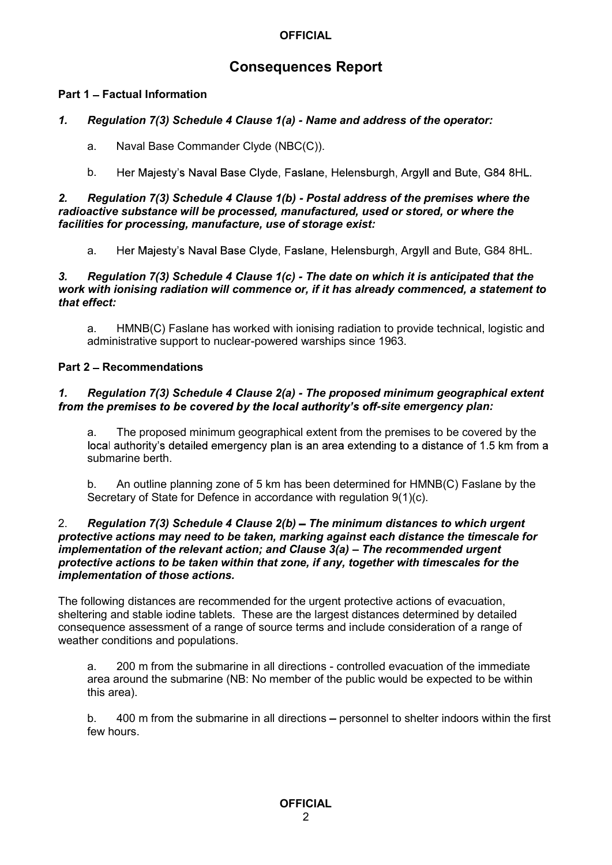# Consequences Report

# Part 1 - Factual Information

# 1. Regulation 7(3) Schedule 4 Clause 1(a) - Name and address of the operator:

- a. Naval Base Commander Clyde (NBC(C)).
- b. Her Majesty's Naval Base Clyde, Faslane, Helensburgh, Argyll and Bute, G84 8HL.

### 2. Regulation 7(3) Schedule 4 Clause 1(b) - Postal address of the premises where the radioactive substance will be processed, manufactured, used or stored, or where the facilities for processing, manufacture, use of storage exist:

a. Her Majesty's Naval Base Clyde, Faslane, Helensburgh, Argyll and Bute, G84 8HL.

## 3. Regulation 7(3) Schedule 4 Clause 1(c) - The date on which it is anticipated that the work with ionising radiation will commence or, if it has already commenced, a statement to that effect:

a. HMNB(C) Faslane has worked with ionising radiation to provide technical, logistic and administrative support to nuclear-powered warships since 1963.

# Part 2 - Recommendations

# 1. Regulation 7(3) Schedule 4 Clause 2(a) - The proposed minimum geographical extent from the premises to be covered by the local authority's off-site emergency plan:

a. The proposed minimum geographical extent from the premises to be covered by the local authority's detailed emergency plan is an area extending to a distance of 1.5 km from a submarine berth.

b. An outline planning zone of 5 km has been determined for HMNB(C) Faslane by the Secretary of State for Defence in accordance with regulation 9(1)(c).

### 2. Regulation 7(3) Schedule 4 Clause  $2(b)$  – The minimum distances to which urgent protective actions may need to be taken, marking against each distance the timescale for implementation of the relevant action; and Clause  $3(a)$  – The recommended urgent protective actions to be taken within that zone, if any, together with timescales for the implementation of those actions.

The following distances are recommended for the urgent protective actions of evacuation, sheltering and stable iodine tablets. These are the largest distances determined by detailed consequence assessment of a range of source terms and include consideration of a range of weather conditions and populations.

a. 200 m from the submarine in all directions - controlled evacuation of the immediate area around the submarine (NB: No member of the public would be expected to be within this area).

b. 400 m from the submarine in all directions – personnel to shelter indoors within the first few hours.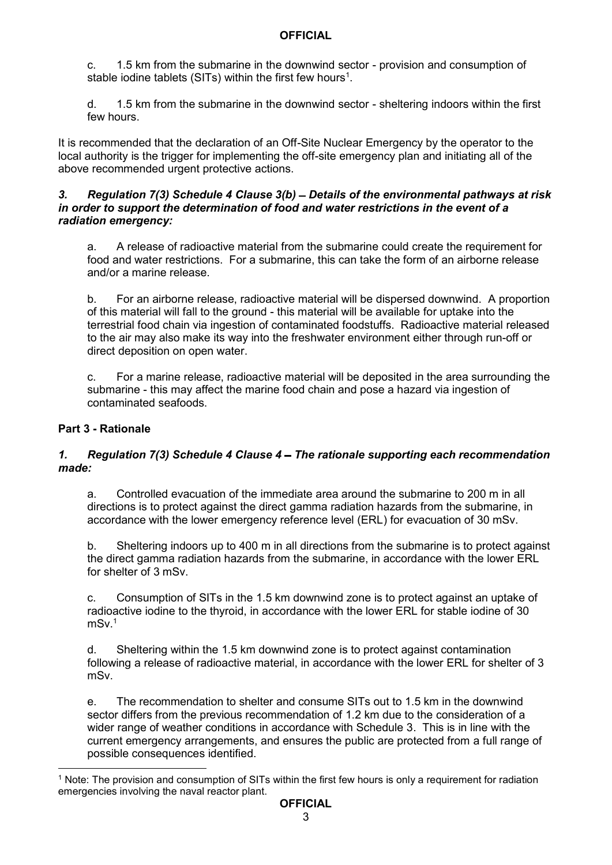c. 1.5 km from the submarine in the downwind sector - provision and consumption of stable iodine tablets (SITs) within the first few hours<sup>1</sup>. .

d. 1.5 km from the submarine in the downwind sector - sheltering indoors within the first few hours.

It is recommended that the declaration of an Off-Site Nuclear Emergency by the operator to the local authority is the trigger for implementing the off-site emergency plan and initiating all of the above recommended urgent protective actions.

### 3. Regulation 7(3) Schedule 4 Clause 3(b) - Details of the environmental pathways at risk in order to support the determination of food and water restrictions in the event of a radiation emergency:

a. A release of radioactive material from the submarine could create the requirement for food and water restrictions. For a submarine, this can take the form of an airborne release and/or a marine release.

b. For an airborne release, radioactive material will be dispersed downwind. A proportion of this material will fall to the ground - this material will be available for uptake into the terrestrial food chain via ingestion of contaminated foodstuffs. Radioactive material released to the air may also make its way into the freshwater environment either through run-off or direct deposition on open water.

c. For a marine release, radioactive material will be deposited in the area surrounding the submarine - this may affect the marine food chain and pose a hazard via ingestion of contaminated seafoods.

# Part 3 - Rationale

# 1. Regulation 7(3) Schedule 4 Clause 4 – The rationale supporting each recommendation made:

a. Controlled evacuation of the immediate area around the submarine to 200 m in all directions is to protect against the direct gamma radiation hazards from the submarine, in accordance with the lower emergency reference level (ERL) for evacuation of 30 mSv.

b. Sheltering indoors up to 400 m in all directions from the submarine is to protect against the direct gamma radiation hazards from the submarine, in accordance with the lower ERL for shelter of 3 mSv.

c. Consumption of SITs in the 1.5 km downwind zone is to protect against an uptake of radioactive iodine to the thyroid, in accordance with the lower ERL for stable iodine of 30  $mSv<sup>1</sup>$ 

d. Sheltering within the 1.5 km downwind zone is to protect against contamination following a release of radioactive material, in accordance with the lower ERL for shelter of 3 mSv.

e. The recommendation to shelter and consume SITs out to 1.5 km in the downwind sector differs from the previous recommendation of 1.2 km due to the consideration of a wider range of weather conditions in accordance with Schedule 3. This is in line with the current emergency arrangements, and ensures the public are protected from a full range of possible consequences identified.

<sup>1</sup> Note: The provision and consumption of SITs within the first few hours is only a requirement for radiation emergencies involving the naval reactor plant.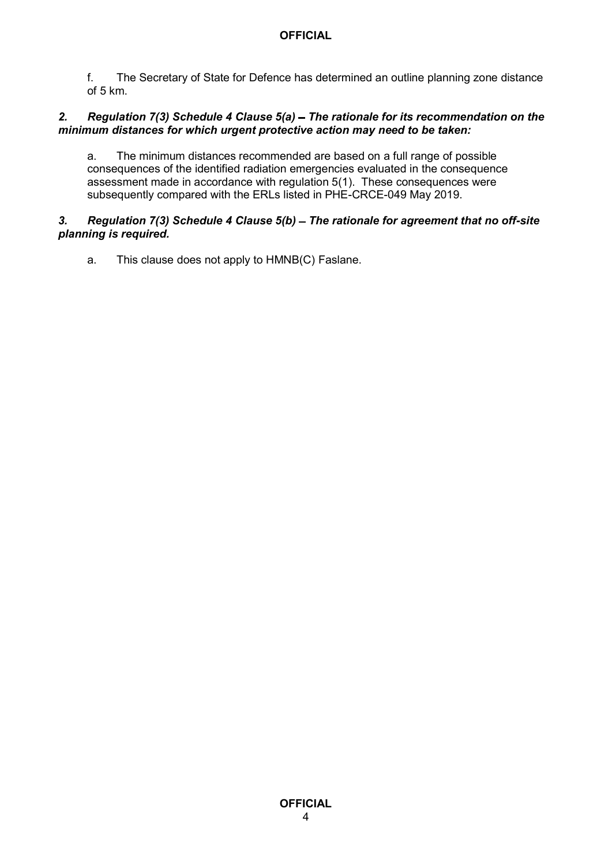of 5 km.

# **OFFICIAL**<br>f. The Secretary of State for Defence has determined an outline planning zone distance<br>of 5 km.<br>Regulation 7(3) Schedule 4 Clause 5(a) – The rationale for its recommendation on the<br>num distances for which urgent 2. Regulation  $7(3)$  Schedule 4 Clause  $5(a)$  – The rationale for its recommendation on the minimum distances for which urgent protective action may need to be taken:

a. The minimum distances recommended are based on a full range of possible consequences of the identified radiation emergencies evaluated in the consequence assessment made in accordance with regulation 5(1). These consequences were subsequently compared with the ERLs listed in PHE-CRCE-049 May 2019.

# 3. Regulation 7(3) Schedule 4 Clause  $5(b)$  – The rationale for agreement that no off-site planning is required.

a. This clause does not apply to HMNB(C) Faslane.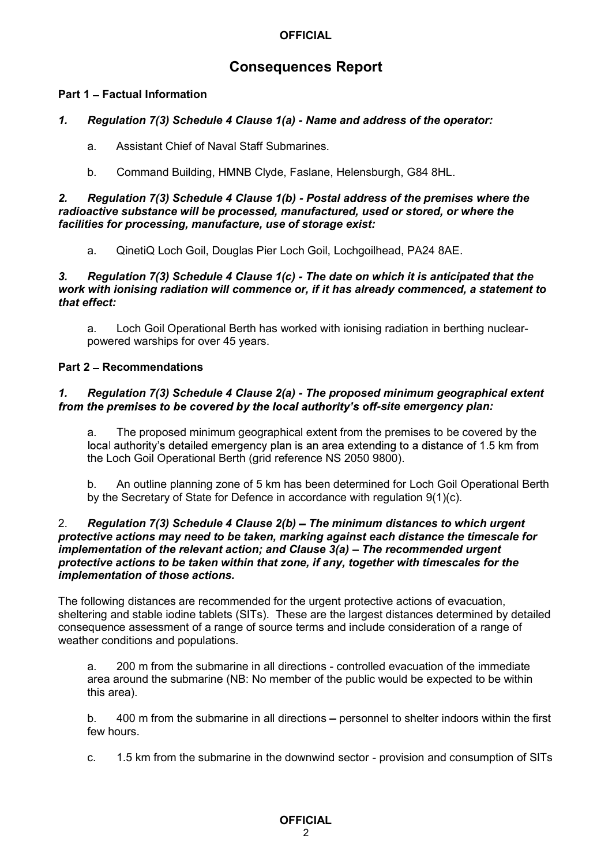# Consequences Report

# Part 1 - Factual Information

# 1. Regulation 7(3) Schedule 4 Clause 1(a) - Name and address of the operator:

- a. Assistant Chief of Naval Staff Submarines.
- b. Command Building, HMNB Clyde, Faslane, Helensburgh, G84 8HL.

2. Regulation 7(3) Schedule 4 Clause 1(b) - Postal address of the premises where the radioactive substance will be processed, manufactured, used or stored, or where the facilities for processing, manufacture, use of storage exist:

a. QinetiQ Loch Goil, Douglas Pier Loch Goil, Lochgoilhead, PA24 8AE.

### 3. Regulation 7(3) Schedule 4 Clause 1(c) - The date on which it is anticipated that the work with ionising radiation will commence or, if it has already commenced, a statement to that effect:

a. Loch Goil Operational Berth has worked with ionising radiation in berthing nuclearpowered warships for over 45 years.

# Part 2 - Recommendations

### 1. Regulation 7(3) Schedule 4 Clause 2(a) - The proposed minimum geographical extent from the premises to be covered by the local authority's off-site emergency plan:

a. The proposed minimum geographical extent from the premises to be covered by the local authority's detailed emergency plan is an area extending to a distance of 1.5 km from the Loch Goil Operational Berth (grid reference NS 2050 9800).

b. An outline planning zone of 5 km has been determined for Loch Goil Operational Berth by the Secretary of State for Defence in accordance with regulation 9(1)(c).

### 2. Regulation 7(3) Schedule 4 Clause  $2(b)$  – The minimum distances to which urgent protective actions may need to be taken, marking against each distance the timescale for implementation of the relevant action; and Clause  $3(a)$  – The recommended urgent protective actions to be taken within that zone, if any, together with timescales for the implementation of those actions.

The following distances are recommended for the urgent protective actions of evacuation, sheltering and stable iodine tablets (SITs). These are the largest distances determined by detailed consequence assessment of a range of source terms and include consideration of a range of weather conditions and populations.

a. 200 m from the submarine in all directions - controlled evacuation of the immediate area around the submarine (NB: No member of the public would be expected to be within this area).

b. 400 m from the submarine in all directions – personnel to shelter indoors within the first few hours.

c. 1.5 km from the submarine in the downwind sector - provision and consumption of SITs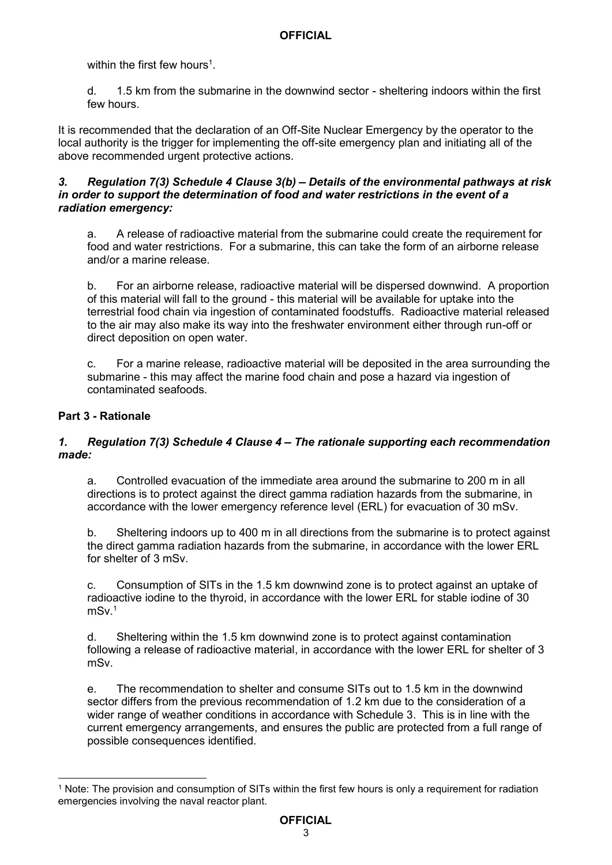within the first few hours<sup>1</sup>

. d. 1.5 km from the submarine in the downwind sector - sheltering indoors within the first few hours.

It is recommended that the declaration of an Off-Site Nuclear Emergency by the operator to the local authority is the trigger for implementing the off-site emergency plan and initiating all of the above recommended urgent protective actions.

## 3. Regulation 7(3) Schedule 4 Clause 3(b) - Details of the environmental pathways at risk in order to support the determination of food and water restrictions in the event of a radiation emergency:

a. A release of radioactive material from the submarine could create the requirement for food and water restrictions. For a submarine, this can take the form of an airborne release and/or a marine release.

b. For an airborne release, radioactive material will be dispersed downwind. A proportion of this material will fall to the ground - this material will be available for uptake into the terrestrial food chain via ingestion of contaminated foodstuffs. Radioactive material released to the air may also make its way into the freshwater environment either through run-off or direct deposition on open water.

c. For a marine release, radioactive material will be deposited in the area surrounding the submarine - this may affect the marine food chain and pose a hazard via ingestion of contaminated seafoods.

# Part 3 - Rationale

# 1. Regulation 7(3) Schedule 4 Clause 4 – The rationale supporting each recommendation made:

a. Controlled evacuation of the immediate area around the submarine to 200 m in all directions is to protect against the direct gamma radiation hazards from the submarine, in accordance with the lower emergency reference level (ERL) for evacuation of 30 mSv.

b. Sheltering indoors up to 400 m in all directions from the submarine is to protect against the direct gamma radiation hazards from the submarine, in accordance with the lower ERL for shelter of 3 mSv.

c. Consumption of SITs in the 1.5 km downwind zone is to protect against an uptake of radioactive iodine to the thyroid, in accordance with the lower ERL for stable iodine of 30 mSv.1

d. Sheltering within the 1.5 km downwind zone is to protect against contamination following a release of radioactive material, in accordance with the lower ERL for shelter of 3 mSv.

e. The recommendation to shelter and consume SITs out to 1.5 km in the downwind sector differs from the previous recommendation of 1.2 km due to the consideration of a wider range of weather conditions in accordance with Schedule 3. This is in line with the current emergency arrangements, and ensures the public are protected from a full range of possible consequences identified.

<sup>1</sup> Note: The provision and consumption of SITs within the first few hours is only a requirement for radiation emergencies involving the naval reactor plant.